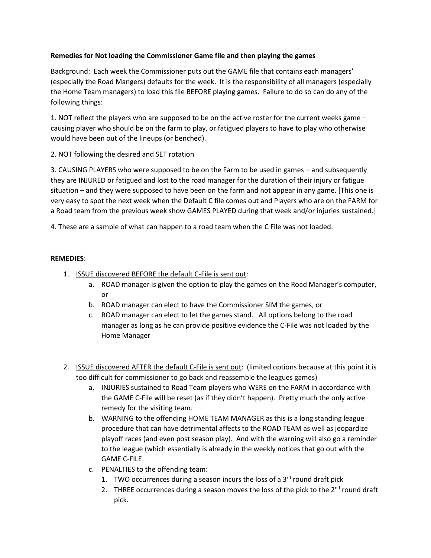## **Remedies for Not loading the Commissioner Game file and then playing the games**

Background: Each week the Commissioner puts out the GAME file that contains each managers' (especially the Road Mangers) defaults for the week. It is the responsibility of all managers (especially the Home Team managers) to load this file BEFORE playing games. Failure to do so can do any of the following things:

1. NOT reflect the players who are supposed to be on the active roster for the current weeks game – causing player who should be on the farm to play, or fatigued players to have to play who otherwise would have been out of the lineups (or benched).

2. NOT following the desired and SET rotation

3. CAUSING PLAYERS who were supposed to be on the Farm to be used in games – and subsequently they are INJURED or fatigued and lost to the road manager for the duration of their injury or fatigue situation – and they were supposed to have been on the farm and not appear in any game. [This one is very easy to spot the next week when the Default C file comes out and Players who are on the FARM for a Road team from the previous week show GAMES PLAYED during that week and/or injuries sustained.]

4. These are a sample of what can happen to a road team when the C File was not loaded.

## **REMEDIES**:

- 1. ISSUE discovered BEFORE the default C-File is sent out:
	- a. ROAD manager is given the option to play the games on the Road Manager's computer, or
	- b. ROAD manager can elect to have the Commissioner SIM the games, or
	- c. ROAD manager can elect to let the games stand. All options belong to the road manager as long as he can provide positive evidence the C-File was not loaded by the Home Manager
- 2. ISSUE discovered AFTER the default C-File is sent out: (limited options because at this point it is too difficult for commissioner to go back and reassemble the leagues games)
	- a. INJURIES sustained to Road Team players who WERE on the FARM in accordance with the GAME C-File will be reset (as if they didn't happen). Pretty much the only active remedy for the visiting team.
	- b. WARNING to the offending HOME TEAM MANAGER as this is a long standing league procedure that can have detrimental affects to the ROAD TEAM as well as jeopardize playoff races (and even post season play). And with the warning will also go a reminder to the league (which essentially is already in the weekly notices that go out with the GAME C-FILE.
	- c. PENALTIES to the offending team:
		- 1. TWO occurrences during a season incurs the loss of a  $3<sup>rd</sup>$  round draft pick
		- 2. THREE occurrences during a season moves the loss of the pick to the  $2<sup>nd</sup>$  round draft pick.